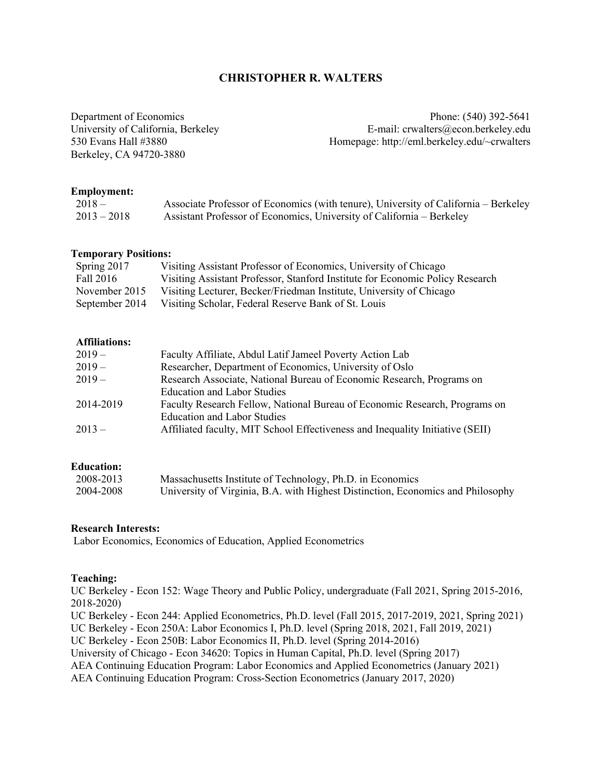# **CHRISTOPHER R. WALTERS**

Berkeley, CA 94720-3880

Department of Economics Phone: (540) 392-5641 University of California, Berkeley **E-mail: crwalters@econ.berkeley.edu** 530 Evans Hall #3880 Homepage: http://eml.berkeley.edu/~crwalters

### **Employment:**

| $2018 -$      | Associate Professor of Economics (with tenure), University of California – Berkeley |
|---------------|-------------------------------------------------------------------------------------|
| $2013 - 2018$ | Assistant Professor of Economics, University of California – Berkeley               |

## **Temporary Positions:**

| Spring 2017    | Visiting Assistant Professor of Economics, University of Chicago              |
|----------------|-------------------------------------------------------------------------------|
| Fall 2016      | Visiting Assistant Professor, Stanford Institute for Economic Policy Research |
| November 2015  | Visiting Lecturer, Becker/Friedman Institute, University of Chicago           |
| September 2014 | Visiting Scholar, Federal Reserve Bank of St. Louis                           |

## **Affiliations:**

| $2019-$   | Faculty Affiliate, Abdul Latif Jameel Poverty Action Lab                      |
|-----------|-------------------------------------------------------------------------------|
| $2019-$   | Researcher, Department of Economics, University of Oslo                       |
| $2019-$   | Research Associate, National Bureau of Economic Research, Programs on         |
|           | <b>Education and Labor Studies</b>                                            |
| 2014-2019 | Faculty Research Fellow, National Bureau of Economic Research, Programs on    |
|           | <b>Education and Labor Studies</b>                                            |
| $2013 -$  | Affiliated faculty, MIT School Effectiveness and Inequality Initiative (SEII) |
|           |                                                                               |

# **Education:**

| 2008-2013 | Massachusetts Institute of Technology, Ph.D. in Economics                       |
|-----------|---------------------------------------------------------------------------------|
| 2004-2008 | University of Virginia, B.A. with Highest Distinction, Economics and Philosophy |

#### **Research Interests:**

Labor Economics, Economics of Education, Applied Econometrics

## **Teaching:**

UC Berkeley - Econ 152: Wage Theory and Public Policy, undergraduate (Fall 2021, Spring 2015-2016, 2018-2020)

UC Berkeley - Econ 244: Applied Econometrics, Ph.D. level (Fall 2015, 2017-2019, 2021, Spring 2021)

UC Berkeley - Econ 250A: Labor Economics I, Ph.D. level (Spring 2018, 2021, Fall 2019, 2021)

UC Berkeley - Econ 250B: Labor Economics II, Ph.D. level (Spring 2014-2016)

University of Chicago - Econ 34620: Topics in Human Capital, Ph.D. level (Spring 2017)

AEA Continuing Education Program: Labor Economics and Applied Econometrics (January 2021)

AEA Continuing Education Program: Cross-Section Econometrics (January 2017, 2020)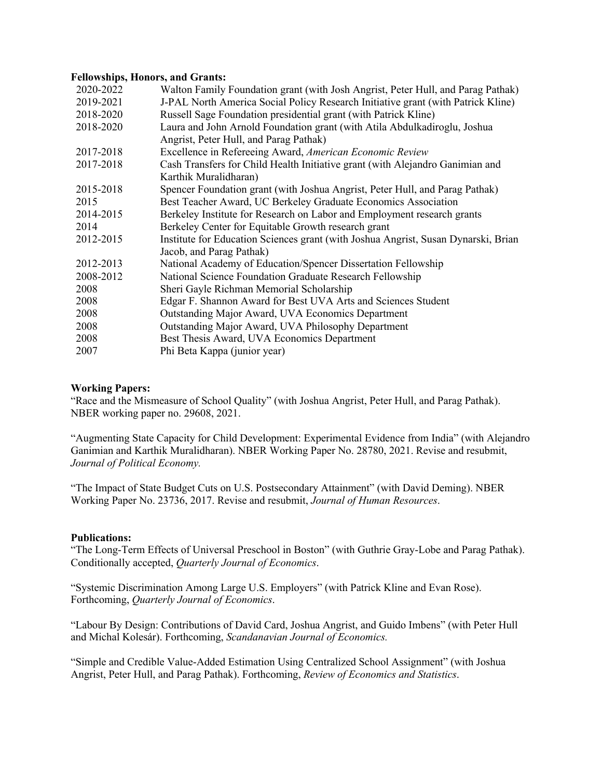### **Fellowships, Honors, and Grants:**

| 2020-2022 | Walton Family Foundation grant (with Josh Angrist, Peter Hull, and Parag Pathak)   |
|-----------|------------------------------------------------------------------------------------|
| 2019-2021 | J-PAL North America Social Policy Research Initiative grant (with Patrick Kline)   |
| 2018-2020 | Russell Sage Foundation presidential grant (with Patrick Kline)                    |
| 2018-2020 | Laura and John Arnold Foundation grant (with Atila Abdulkadiroglu, Joshua          |
|           | Angrist, Peter Hull, and Parag Pathak)                                             |
| 2017-2018 | Excellence in Refereeing Award, American Economic Review                           |
| 2017-2018 | Cash Transfers for Child Health Initiative grant (with Alejandro Ganimian and      |
|           | Karthik Muralidharan)                                                              |
| 2015-2018 | Spencer Foundation grant (with Joshua Angrist, Peter Hull, and Parag Pathak)       |
| 2015      | Best Teacher Award, UC Berkeley Graduate Economics Association                     |
| 2014-2015 | Berkeley Institute for Research on Labor and Employment research grants            |
| 2014      | Berkeley Center for Equitable Growth research grant                                |
| 2012-2015 | Institute for Education Sciences grant (with Joshua Angrist, Susan Dynarski, Brian |
|           | Jacob, and Parag Pathak)                                                           |
| 2012-2013 | National Academy of Education/Spencer Dissertation Fellowship                      |
| 2008-2012 | National Science Foundation Graduate Research Fellowship                           |
| 2008      | Sheri Gayle Richman Memorial Scholarship                                           |
| 2008      | Edgar F. Shannon Award for Best UVA Arts and Sciences Student                      |
| 2008      | Outstanding Major Award, UVA Economics Department                                  |
| 2008      | Outstanding Major Award, UVA Philosophy Department                                 |
| 2008      | Best Thesis Award, UVA Economics Department                                        |
| 2007      | Phi Beta Kappa (junior year)                                                       |
|           |                                                                                    |

## **Working Papers:**

"Race and the Mismeasure of School Quality" (with Joshua Angrist, Peter Hull, and Parag Pathak). NBER working paper no. 29608, 2021.

"Augmenting State Capacity for Child Development: Experimental Evidence from India" (with Alejandro Ganimian and Karthik Muralidharan). NBER Working Paper No. 28780, 2021. Revise and resubmit, *Journal of Political Economy.*

"The Impact of State Budget Cuts on U.S. Postsecondary Attainment" (with David Deming). NBER Working Paper No. 23736, 2017. Revise and resubmit, *Journal of Human Resources*.

## **Publications:**

"The Long-Term Effects of Universal Preschool in Boston" (with Guthrie Gray-Lobe and Parag Pathak). Conditionally accepted, *Quarterly Journal of Economics*.

"Systemic Discrimination Among Large U.S. Employers" (with Patrick Kline and Evan Rose). Forthcoming, *Quarterly Journal of Economics*.

"Labour By Design: Contributions of David Card, Joshua Angrist, and Guido Imbens" (with Peter Hull and Michal Kolesár). Forthcoming, *Scandanavian Journal of Economics.*

"Simple and Credible Value-Added Estimation Using Centralized School Assignment" (with Joshua Angrist, Peter Hull, and Parag Pathak). Forthcoming, *Review of Economics and Statistics*.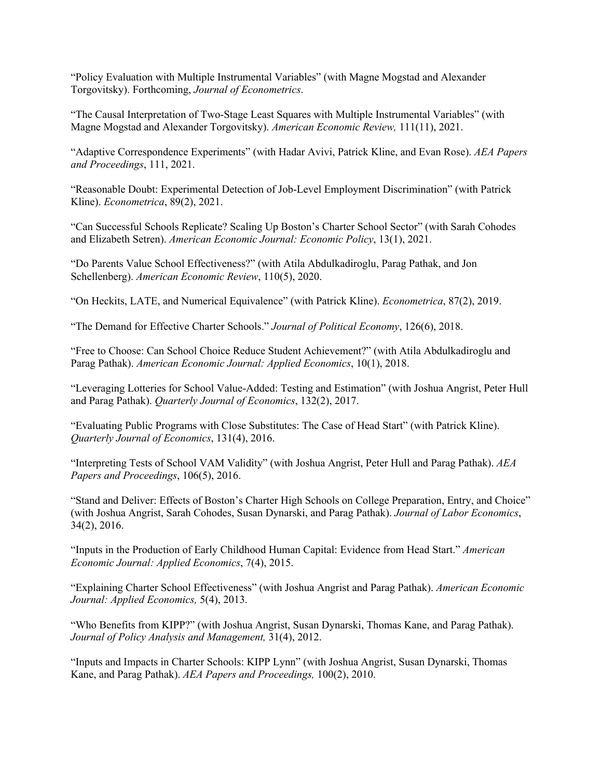"Policy Evaluation with Multiple Instrumental Variables" (with Magne Mogstad and Alexander Torgovitsky). Forthcoming, *Journal of Econometrics*.

"The Causal Interpretation of Two-Stage Least Squares with Multiple Instrumental Variables" (with Magne Mogstad and Alexander Torgovitsky). *American Economic Review,* 111(11), 2021.

"Adaptive Correspondence Experiments" (with Hadar Avivi, Patrick Kline, and Evan Rose). *AEA Papers and Proceedings*, 111, 2021.

"Reasonable Doubt: Experimental Detection of Job-Level Employment Discrimination" (with Patrick Kline). *Econometrica*, 89(2), 2021.

"Can Successful Schools Replicate? Scaling Up Boston's Charter School Sector" (with Sarah Cohodes and Elizabeth Setren). *American Economic Journal: Economic Policy*, 13(1), 2021.

"Do Parents Value School Effectiveness?" (with Atila Abdulkadiroglu, Parag Pathak, and Jon Schellenberg). *American Economic Review*, 110(5), 2020.

"On Heckits, LATE, and Numerical Equivalence" (with Patrick Kline). *Econometrica*, 87(2), 2019.

"The Demand for Effective Charter Schools." *Journal of Political Economy*, 126(6), 2018.

"Free to Choose: Can School Choice Reduce Student Achievement?" (with Atila Abdulkadiroglu and Parag Pathak). *American Economic Journal: Applied Economics*, 10(1), 2018.

"Leveraging Lotteries for School Value-Added: Testing and Estimation" (with Joshua Angrist, Peter Hull and Parag Pathak). *Quarterly Journal of Economics*, 132(2), 2017.

"Evaluating Public Programs with Close Substitutes: The Case of Head Start" (with Patrick Kline). *Quarterly Journal of Economics*, 131(4), 2016.

"Interpreting Tests of School VAM Validity" (with Joshua Angrist, Peter Hull and Parag Pathak). *AEA Papers and Proceedings*, 106(5), 2016.

"Stand and Deliver: Effects of Boston's Charter High Schools on College Preparation, Entry, and Choice" (with Joshua Angrist, Sarah Cohodes, Susan Dynarski, and Parag Pathak). *Journal of Labor Economics*, 34(2), 2016.

"Inputs in the Production of Early Childhood Human Capital: Evidence from Head Start." *American Economic Journal: Applied Economics*, 7(4), 2015.

"Explaining Charter School Effectiveness" (with Joshua Angrist and Parag Pathak). *American Economic Journal: Applied Economics,* 5(4), 2013.

"Who Benefits from KIPP?" (with Joshua Angrist, Susan Dynarski, Thomas Kane, and Parag Pathak). *Journal of Policy Analysis and Management,* 31(4), 2012.

"Inputs and Impacts in Charter Schools: KIPP Lynn" (with Joshua Angrist, Susan Dynarski, Thomas Kane, and Parag Pathak). *AEA Papers and Proceedings,* 100(2), 2010.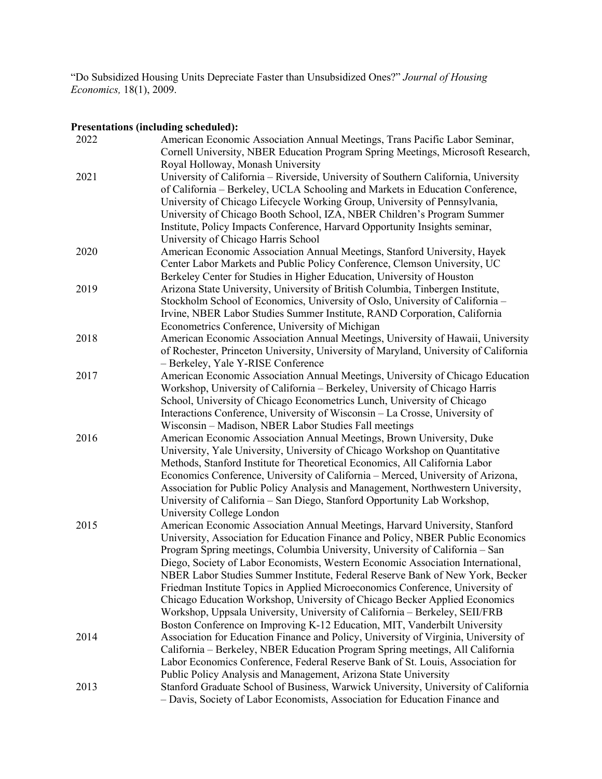"Do Subsidized Housing Units Depreciate Faster than Unsubsidized Ones?" *Journal of Housing Economics,* 18(1), 2009.

# **Presentations (including scheduled):**

| 2022 | American Economic Association Annual Meetings, Trans Pacific Labor Seminar,<br>Cornell University, NBER Education Program Spring Meetings, Microsoft Research, |
|------|----------------------------------------------------------------------------------------------------------------------------------------------------------------|
|      | Royal Holloway, Monash University                                                                                                                              |
| 2021 | University of California - Riverside, University of Southern California, University                                                                            |
|      | of California – Berkeley, UCLA Schooling and Markets in Education Conference,                                                                                  |
|      | University of Chicago Lifecycle Working Group, University of Pennsylvania,                                                                                     |
|      | University of Chicago Booth School, IZA, NBER Children's Program Summer                                                                                        |
|      | Institute, Policy Impacts Conference, Harvard Opportunity Insights seminar,                                                                                    |
|      | University of Chicago Harris School                                                                                                                            |
| 2020 | American Economic Association Annual Meetings, Stanford University, Hayek                                                                                      |
|      | Center Labor Markets and Public Policy Conference, Clemson University, UC                                                                                      |
|      | Berkeley Center for Studies in Higher Education, University of Houston                                                                                         |
| 2019 | Arizona State University, University of British Columbia, Tinbergen Institute,                                                                                 |
|      | Stockholm School of Economics, University of Oslo, University of California -                                                                                  |
|      | Irvine, NBER Labor Studies Summer Institute, RAND Corporation, California                                                                                      |
|      | Econometrics Conference, University of Michigan                                                                                                                |
| 2018 | American Economic Association Annual Meetings, University of Hawaii, University                                                                                |
|      | of Rochester, Princeton University, University of Maryland, University of California                                                                           |
|      | - Berkeley, Yale Y-RISE Conference                                                                                                                             |
| 2017 | American Economic Association Annual Meetings, University of Chicago Education                                                                                 |
|      | Workshop, University of California - Berkeley, University of Chicago Harris                                                                                    |
|      | School, University of Chicago Econometrics Lunch, University of Chicago                                                                                        |
|      | Interactions Conference, University of Wisconsin - La Crosse, University of                                                                                    |
|      | Wisconsin - Madison, NBER Labor Studies Fall meetings                                                                                                          |
| 2016 | American Economic Association Annual Meetings, Brown University, Duke                                                                                          |
|      | University, Yale University, University of Chicago Workshop on Quantitative                                                                                    |
|      | Methods, Stanford Institute for Theoretical Economics, All California Labor                                                                                    |
|      | Economics Conference, University of California - Merced, University of Arizona,                                                                                |
|      | Association for Public Policy Analysis and Management, Northwestern University,                                                                                |
|      | University of California - San Diego, Stanford Opportunity Lab Workshop,                                                                                       |
|      | University College London                                                                                                                                      |
| 2015 | American Economic Association Annual Meetings, Harvard University, Stanford                                                                                    |
|      | University, Association for Education Finance and Policy, NBER Public Economics                                                                                |
|      | Program Spring meetings, Columbia University, University of California - San                                                                                   |
|      | Diego, Society of Labor Economists, Western Economic Association International,                                                                                |
|      | NBER Labor Studies Summer Institute, Federal Reserve Bank of New York, Becker                                                                                  |
|      |                                                                                                                                                                |
|      | Friedman Institute Topics in Applied Microeconomics Conference, University of                                                                                  |
|      | Chicago Education Workshop, University of Chicago Becker Applied Economics                                                                                     |
|      | Workshop, Uppsala University, University of California - Berkeley, SEII/FRB                                                                                    |
|      | Boston Conference on Improving K-12 Education, MIT, Vanderbilt University                                                                                      |
| 2014 | Association for Education Finance and Policy, University of Virginia, University of                                                                            |
|      | California – Berkeley, NBER Education Program Spring meetings, All California                                                                                  |
|      | Labor Economics Conference, Federal Reserve Bank of St. Louis, Association for                                                                                 |
|      | Public Policy Analysis and Management, Arizona State University                                                                                                |
| 2013 | Stanford Graduate School of Business, Warwick University, University of California                                                                             |
|      | - Davis, Society of Labor Economists, Association for Education Finance and                                                                                    |